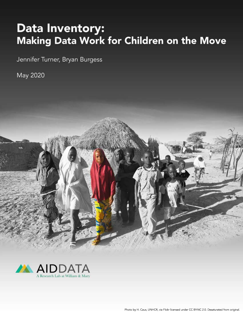# **Data Inventory:** Making Data Work for Children on the Move

Jennifer Turner, Bryan Burgess

May 2020



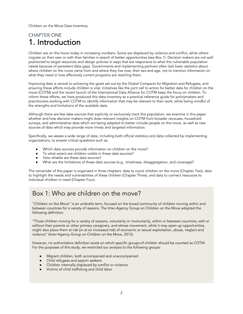# CHAPTER ONE 1. Introduction

Children are on the move today in increasing numbers. Some are displaced by violence and conflict, while others migrate on their own or with their families in search of better opportunities (see Box 1). Decision makers are not well positioned to target resources and design policies in ways that are responsive to what this vulnerable population needs because of persistent data gaps. Governments and implementing partners often lack basic statistics about where children on the move came from and where they live now, their sex and age, not to mention information on what they need or how effectively current programs are reaching them.

Improving data is central to achieving the goals set out by the Global Compacts for Migration and Refugees, and ensuring these efforts include children is vital. Initiatives like the joint call to action for better data for children on the move (COTM) and the recent launch of the International Data Alliance for COTM keep the focus on children. To inform these efforts, we have produced this data inventory as a practical reference guide for policymakers and practitioners working with COTM to identify information that may be relevant to their work, while being mindful of the strengths and limitations of the available data.

Although there are few data sources that explicitly or exclusively track this population, we examine in this paper whether and how decision makers might draw relevant insights on COTM from broader censuses, household surveys, and administrative data which are being adapted to better include people on the move, as well as new sources of data which may provide more timely and targeted information.

Specifically, we assess a wide range of data, including both official statistics and data collected by implementing organizations, to answer critical questions such as:

- Which data sources provide information on children on the move?
- To what extent are children visible in these data sources?
- How reliable are these data sources?
- What are the limitations of these data sources (e.g., timeliness, disaggregation, and coverage)?

The remainder of this paper is organized in three chapters: data to count children on the move (Chapter Two), data to highlight the needs and vulnerabilities of these children (Chapter Three), and data to connect resources to individual children in need (Chapter Four).

# Box 1: Who are children on the move?

"Children on the Move" is an umbrella term, focused on the broad community of children moving within and between countries for a variety of reasons. The Inter-Agency Group on Children on the Move adopted the following definition:

"Those children moving for a variety of reasons, voluntarily or involuntarily, within or between countries, with or without their parents or other primary caregivers, and whose movement, while it may open up opportunities, might also place them at risk (or at an increased risk) of economic or sexual exploitation, abuse, neglect and violence" (Inter-Agency Group on Children on the Move, 2013).

However, no authoritative definition exists on which specific groups of children should be counted as COTM. For the purposes of this study, we restricted our analysis to the following groups:

- Migrant children, both accompanied and unaccompanied
- Child refugees and asylum seekers
- Children internally displaced by conflict or violence
- Victims of child trafficking and child labor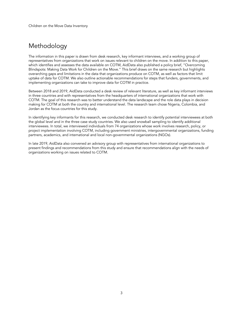# Methodology

The information in this paper is drawn from desk research, key informant interviews, and a working group of representatives from organizations that work on issues relevant to children on the move. In addition to this paper, which identifies and assesses the data available on COTM, AidData also published a policy brief, "Overcoming Blindspots: Making Data Work for Children on the Move." This brief draws on the same research but highlights overarching gaps and limitations in the data that organizations produce on COTM, as well as factors that limit uptake of data for COTM. We also outline actionable recommendations for steps that funders, governments, and implementing organizations can take to improve data for COTM in practice.

Between 2018 and 2019, AidData conducted a desk review of relevant literature, as well as key informant interviews in three countries and with representatives from the headquarters of international organizations that work with COTM. The goal of this research was to better understand the data landscape and the role data plays in decision making for COTM at both the country and international level. The research team chose Nigeria, Colombia, and Jordan as the focus countries for this study.

In identifying key informants for this research, we conducted desk research to identify potential interviewees at both the global level and in the three case study countries. We also used snowball sampling to identify additional interviewees. In total, we interviewed individuals from 74 organizations whose work involves research, policy, or project implementation involving COTM, including government ministries, intergovernmental organizations, funding partners, academics, and international and local non-governmental organizations (NGOs).

In late 2019, AidData also convened an advisory group with representatives from international organizations to present findings and recommendations from this study and ensure that recommendations align with the needs of organizations working on issues related to COTM.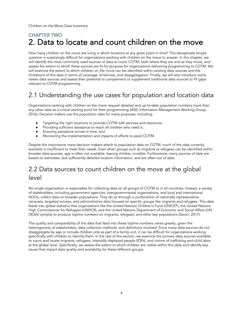# CHAPTER TWO 2. Data to locate and count children on the move

How many children on the move are living in which locations at any given point in time? This deceptively simple question is surprisingly difficult for organizations working with children on the move to answer. In this chapter, we will identify the most commonly used sources of data to count COTM, both where they are and as they move, and assess the extent to which these sources are fit-for-purpose for organizations delivering programming to COTM. We will examine the extent to which children on the move can be identified within existing data sources and the limitations of this data in terms of coverage, timeliness, and disaggregation. Finally, we will also introduce some newer data sources and assess their potential to complement or supplement traditional data sources to fill gaps relevant to COTM programming.

# 2.1 Understanding the use cases for population and location data

Organizations working with children on the move request detailed and up-to-date population numbers more than any other data as a critical starting point for their programming (IASC Information Management Working Group, 2016). Decision makers use this population data for many purposes, including:

- Targeting the right locations to provide COTM with services and resources;
- Providing sufficient assistance to reach all children who need it;
- Ensuring assistance arrives in time; and
- Monitoring the implementation and impacts of efforts to assist COTM.

Despite the importance many decision makers attach to population data on COTM, much of the data currently available is insufficient to meet their needs. Even when groups such as migrants or refugees can be identified within broader data sources, age is often not available, leaving children invisible. Furthermore, many sources of data are based on estimates, lack sufficiently detailed location information, and are often out of date.

# 2.2 Data sources to count children on the move at the global level

No single organization is responsible for collecting data on all groups of COTM or in all countries. Instead, a variety of stakeholders, including government agencies, intergovernmental organizations, and local and international NGOs, collect data on broader populations. They do so through a combination of nationally representative censuses, targeted surveys, and administrative data focused on specific groups like migrants and refugees. This data feeds into global statistics that organizations like the United Nations Children's Fund (UNICEF), the United Nations High Commissioner for Refugees (UNHCR), and the United Nations Department of Economic and Social Affairs (UN DESA) compile to produce topline numbers on migrants, refugees, and other key populations (Sarzin, 2017).

The quality and comparability of the data that feed into these topline numbers varies greatly, given the heterogeneity of stakeholders, data collection methods, and definitions involved. Since many data sources do not disaggregate by age or include children only as part of a family unit, it can be difficult for organizations working specifically with children to identify them. In the rest of this section, we examine the primary data sources available to count and locate migrants, refugees, internally displaced people (IDPs), and victims of trafficking and child labor at the global level. Specifically, we assess the extent to which children are visible within this data and identify key issues that impact data quality and availability for these different groups.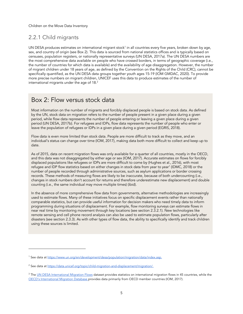### 2.2.1 Child migrants

UN DESA produces estimates on international migrant stock<sup>1</sup> in all countries every five years, broken down by age, sex, and country of origin (see Box 2). This data is sourced from national statistics offices and is typically based on censuses, population registers, or nationally representative surveys (UN DESA, 2017a). The UN DESA numbers are the most comprehensive data available on people who have crossed borders, in terms of geographic coverage (i.e., the number of countries for which data is available) and the availability of age disaggregation. However, the number of migrant children under 18 years of age, as defined by the Convention on the Rights of the Child (CRC), cannot be specifically quantified, as the UN DESA data groups together youth ages 15-19 (IOM GMDAC, 2020). To provide more precise numbers on migrant children, UNICEF uses this data to produce estimates of the number of international migrants under the age of 18.<sup>2</sup>

# Box 2: Flow versus stock data Box 2: Flow versus stock data

by the UN, stock data on migration refers to the number of people present in a given place during a given the UN, stock data on migration refers to the number of people present in a given place during a given period, period, while flow data represents the number of people entering or leaving a given place during a given period (UN DESA, 2017b). For refugees and IDPs, flow data represents the number of people who enter or leave the population of refugees or IDPs in a given place during a given period (EGRIS, 2018). refugees or IDPs in a given place during a given period (EGRIS, 2018). Most information on the number of migrants and forcibly displaced people is based on stock data. As defined

 $\frac{1}{2}$  individual's status can change over time (IOM, 2017), making data both more difficult to collect and keep up to individual's status can change over time (IOM, 2017), making data both more difficult to collect and keep up to<br>date Flow data is even more limited than stock data. People are more difficult to track as they move, and an date.

As of 2015, data on recent migration flows was only available for a quarter of all countries, mostly in the OECD, and this data was not disaggregated by either age or sex (IOM, 2017). Accurate estimates on flows for forcibly displaced populations like refugees or IDPs are more difficult to come by (Hughes et al., 2016), with most refugee and IDP flow statistics based on either changes in stock data from year to year<sup>1</sup> (IDMC, 2018) or the number of people recorded through administrative sources, such as asylum applications or border crossing records. These methods of measuring flows are likely to be inaccurate, because of both undercounting (i.e., changes in stock numbers don't account for returns and therefore underestimate new displacement) and double may move multiple times) (ibid). counting (i.e., the same individual may move multiple times) (ibid).

In the absence of more comprehensive flow data from governments, alternative methodologies are increasingly In the absence of more comprehensive flow data from governments, alternative methodologies are increasingly used to estimate flows. Many of these initiatives focus on specific displacement events rather than nationally used to estimate flows. Many of these initiatives focus on specific displacement events rather than nationally comparable statistics, but can provide useful information for decision makers who need timely data to inform comparable statistics, but can provide useful information for decision makers who need timely data to inform programming during situations of displacement. For example, flow monitoring surveys can estimate flows in near real time by monitoring movement through key locations (see section 2.3.2.1). New technologies like remote sensing and cell phone record analysis can also be used to estimate population flows, particularly after disasters (see section 2.3.3). As with other types of flow data, the ability to specifically identify and track children using these sources is limited.

<sup>1</sup> See data at https://www.un.org/en/development/desa/population/migration/data/index.asp.

<sup>&</sup>lt;sup>2</sup> See data at https://data.unicef.org/topic/child-migration-and-displacement/migration/.

<sup>&</sup>lt;sup>3</sup> The UN DESA International Migration Flows dataset provides statistics on international migration flows in 45 countries, while the OECD's International Migration Database provides data primarily from OECD member countries (IOM, 2017).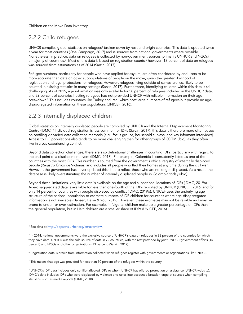### 2.2.2 Child refugees

UNHCR compiles global statistics on refugees<sup>4</sup> broken down by host and origin countries. This data is updated twice a year for most countries (One Campaign, 2017) and is sourced from national governments where possible. Nonetheless, in practice, data on refugees is collected by non-government sources (primarily UNHCR and NGOs) in a majority of countries.<sup>5</sup> Most of this data is based on registration counts;<sup>6</sup> however, 13 percent of data on refugees was sourced from estimations as of 2014 (Sarzin, 2017).

Refugee numbers, particularly for people who have applied for asylum, are often considered by end users to be more accurate than data on other subpopulations of people on the move, given the greater likelihood of registration and legal protections for refugees. However, refugees living outside of camps are less likely to be counted in existing statistics in many settings (Sarzin, 2017). Furthermore, identifying children within this data is still challenging. As of 2015, age information was only available for 58 percent of refugees included in the UNHCR data, and 29 percent of countries hosting refugees had not provided UNHCR with reliable information on their age breakdown. <sup>7</sup> This includes countries like Turkey and Iran, which host large numbers of refugees but provide no agedisaggregated information on these populations (UNICEF, 2016).

### 2.2.3 Internally displaced children

Global statistics on internally displaced people are compiled by UNHCR and the Internal Displacement Monitoring Centre (IDMC).<sup>8</sup> Individual registration is less common for IDPs (Sarzin, 2017); this data is therefore more often based on profiling via varied data collection methods (e.g., focus groups, household surveys, and key informant interviews). Access to IDP populations also tends to be more challenging than for other groups of COTM (ibid), as they often live in areas experiencing conflict.

Beyond data collection challenges, there are also definitional challenges in counting IDPs, particularly with regard to the end point of a displacement event (IDMC, 2018). For example, Colombia is consistently listed as one of the countries with the most IDPs. This number is sourced from the government's official registry of internally displaced people (Registro Único de Víctimas) and includes all people who fled their homes at any time during the civil war. However, the government has never updated this data to reflect those who are no longer displaced. As a result, the database is likely overestimating the number of internally displaced people in Colombia today (ibid).

Beyond these limitations, very little data is available on the age and subnational locations of IDPs (IDMC, 2019a). Age-disaggregated data is available for less than one-fourth of the IDPs reported by UNHCR (UNICEF, 2016) and for only 14 percent of countries with people displaced by conflict (IDMC, 2019b). UNICEF uses the underlying age structure of the national population to estimate numbers of IDP children for countries where age-disaggregated information is not available (Hansen, Beise & You, 2019). However, these estimates may not be reliable and may be prone to under- or over-estimation. For example, in Nigeria, children make up a greater percentage of IDPs than in the general population, but in Haiti children are a smaller share of IDPs (UNICEF, 2016).

<sup>4</sup> See data at http://popstats.unhcr.org/en/overview.

 $5$  In 2014, national governments were the exclusive source of UNHCR's data on refugees in 38 percent of the countries for which they have data. UNHCR was the sole source of data in 72 countries, with the rest provided by joint UNHCR/government efforts (15 percent) and NGOs and other organizations (13 percent) (Sarzin, 2017).

<sup>6</sup> Registration data is drawn from information collected when refugees register with governments or organizations like UNHCR.

 $<sup>7</sup>$  This means that age was provided for less than 50 percent of the refugees within the country.</sup>

<sup>&</sup>lt;sup>8</sup> UNHCR's IDP data includes only conflict-affected IDPs to whom UNHCR has offered protection or assistance (UNHCR website). IDMC's data includes IDPs who were displaced by violence and takes into account a broader range of sources when compiling statistics, such as media reports (IDMC, 2018).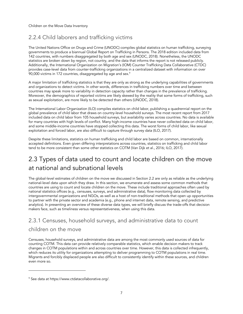### 2.2.4 Child laborers and trafficking victims

The United Nations Office on Drugs and Crime (UNODC) compiles global statistics on human trafficking, surveying governments to produce a biannual Global Report on Trafficking in Persons. The 2018 edition included data from 142 countries, with numbers disaggregated by both age and sex (UNODC, 2018). Nonetheless, the UNODC statistics are broken down by region, not country, and the data that informs the report is not released publicly. Additionally, the International Organization on Migration's (IOM) Counter Trafficking Data Collaborative (CTDC) provides case-level data from counter-trafficking organizations in a centralized dataset with information on over 90,000 victims in 172 countries, disaggregated by age and sex.<sup>9</sup>

A major limitation of trafficking statistics is that they are only as strong as the underlying capabilities of governments and organizations to detect victims. In other words, differences in trafficking numbers over time and between countries may speak more to variability in detection capacity rather than changes in the prevalence of trafficking. Moreover, the demographics of reported victims are likely skewed by the reality that some forms of trafficking, such as sexual exploitation, are more likely to be detected than others (UNODC, 2018).

The International Labor Organization (ILO) compiles statistics on child labor, publishing a quadrennial report on the global prevalence of child labor that draws on country-level household surveys. The most recent report from 2017 included data on child labor from 105 household surveys, but availability varies across countries. No data is available for many countries with high levels of conflict. Many high-income countries have never collected data on child labor, and some middle-income countries have stopped collecting this data. The worst forms of child labor, like sexual exploitation and forced labor, are also difficult to capture through survey data (ILO, 2017).

Despite these limitations, statistics on human trafficking and child labor are based on common, internationally accepted definitions. Even given differing interpretations across countries, statistics on trafficking and child labor tend to be more consistent than some other statistics on COTM (Van Dijk et al., 2016; ILO, 2017).

# 2.3 Types of data used to count and locate children on the move at national and subnational levels

The global-level estimates of children on the move we discussed in Section 2.2 are only as reliable as the underlying national-level data upon which they draw. In this section, we enumerate and assess some common methods that countries are using to count and locate children on the move. These include traditional approaches often used by national statistics offices (e.g., censuses, surveys, and administrative data), flow monitoring data collected by intergovernmental organizations and NGOs, as well as a host of non-traditional methods that open up opportunities to partner with the private sector and academia (e.g., phone and internet data, remote sensing, and predictive analytics). In presenting an overview of these diverse data types, we will briefly discuss the trade-offs that decision makers face, such as timeliness versus representativeness, when using this data.

### 2.3.1 Censuses, household surveys, and administrative data to count children on the move

Censuses, household surveys, and administrative data are among the most commonly used sources of data for counting COTM. This data can provide relatively comparable statistics, which enable decision makers to track changes in COTM populations within and across countries over time. However, this data is collected infrequently, which reduces its utility for organizations attempting to deliver programming to COTM populations in real time. Migrants and forcibly displaced people are also difficult to consistently identify within these sources, and children even more so.

<sup>9</sup> See data at https://www.ctdatacollaborative.org/.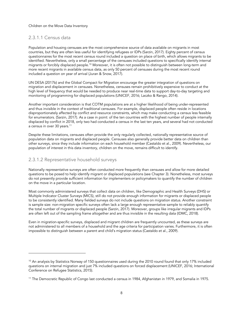#### 2.3.1.1 Census data

Population and housing censuses are the most comprehensive source of data available on migrants in most countries, but they are often less useful for identifying refugees or IDPs (Sarzin, 2017). Eighty percent of census questionnaires for the most recent census round included a question on place of birth, which allows migrants to be identified. Nevertheless, only a small percentage of the censuses included questions to specifically identify internal migrants or forcibly displaced people. <sup>10</sup> Moreover, it is often not possible to distinguish between long-term and more recent migrants in available census data, as only 50 percent of censuses during the most recent round included a question on year of arrival (Juran & Snow, 2017).

UN DESA (2017b) and the Global Compact for Migration encourage the greater integration of questions on migration and displacement in censuses. Nonetheless, censuses remain prohibitively expensive to conduct at the high level of frequency that would be needed to produce near real-time data to support day-to-day targeting and monitoring of programming for displaced populations (UNICEF, 2016; Laczko & Rango, 2014).

Another important consideration is that COTM populations are at a higher likelihood of being under-represented and thus invisible in the context of traditional censuses. For example, displaced people often reside in locations disproportionately affected by conflict and resource constraints, which may make conducting a census less feasible for enumerators. (Sarzin, 2017). As a case in point: of the ten countries with the highest number of people internally displaced by conflict in 2018, only two had conducted a census in the last ten years, and several had not conducted a census in over 30 years.<sup>11</sup>

Despite these limitations, censuses often provide the only regularly collected, nationally representative source of population data on migrants and displaced people. Censuses also generally provide better data on children than other surveys, since they include information on each household member (Castaldo et al., 2009). Nevertheless, our population of interest in this data inventory, children on the move, remains difficult to identify.

#### 2.3.1.2 Representative household surveys

Nationally representative surveys are often conducted more frequently than censuses and allow for more detailed questions to be posed to help identify migrant or displaced populations (see Chapter 3). Nonetheless, most surveys do not presently provide sufficient information for implementers or policymakers to quantify the number of children on the move in a particular location.

Most commonly administered surveys that collect data on children, like Demographic and Health Surveys (DHS) or Multiple Indicator Cluster Surveys (MICS), still do not provide enough information for migrants or displaced people to be consistently identified. Many fielded surveys do not include questions on migration status. Another constraint is sample size: non-migration specific surveys often lack a large enough representative sample to reliably quantify the total number of migrants or displaced people (Sarzin, 2017). Moreover, groups like irregular migrants and IDPs are often left out of the sampling frame altogether and are thus invisible in the resulting data (IDMC, 2018).

Even in migration-specific surveys, displaced and migrant children are frequently uncounted, as these surveys are not administered to all members of a household and the age criteria for participation varies. Furthermore, it is often impossible to distinguish between a parent and child's migration status (Castaldo et al., 2009).

 $10$  An analysis by Statistics Norway of 150 questionnaires used during the 2010 round found that only 17% included questions on internal migration and just 7% included questions on forced displacement (UNICEF, 2016; International Conference on Refugee Statistics, 2015).

<sup>&</sup>lt;sup>11</sup> The Democratic Republic of Congo last conducted a census in 1984, Afghanistan in 1979, and Somalia in 1975.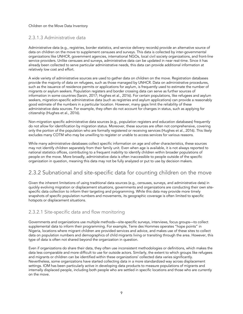#### 2.3.1.3 Administrative data

Administrative data (e.g., registries, border statistics, and service delivery records) provide an alternative source of data on children on the move to supplement censuses and surveys. This data is collected by inter-governmental organizations like UNHCR, government agencies, international NGOs, local civil society organizations, and front-line service providers. Unlike censuses and surveys, administrative data can be updated in near real-time. Since it has already been collected to serve particular administrative needs, this data can provide additional information at relatively low cost and effort.

A wide variety of administrative sources are used to gather data on children on the move. Registration databases provide the majority of data on refugees, such as those managed by UNHCR. Data on administrative procedures, such as the issuance of residence permits or applications for asylum, is frequently used to estimate the number of migrants or asylum seekers. Population registers and border crossing data can serve as further sources of information in some countries (Sarzin, 2017; Hughes et al., 2016). For certain populations, like refugees and asylum seekers, migration-specific administrative data (such as registries and asylum applications) can provide a reasonably good estimate of the numbers in a particular location. However, many gaps limit the reliability of these administrative data sources. For example, they often do not account for changes in status, such as applying for citizenship (Hughes et al., 2016).

Non-migration specific administrative data sources (e.g., population registers and education databases) frequently do not allow for identification by migration status. Moreover, these sources are often not comprehensive, covering only the portion of the population who are formally registered or receiving services (Hughes et al., 2016). This likely excludes many COTM who may be unwilling to register or unable to access services for various reasons.

While many administrative databases collect specific information on age and other characteristics, these sources may not identify children separately from their family unit. Even when age is available, it is not always reported to national statistics offices, contributing to a frequent inability to identify children within broader populations of people on the move. More broadly, administrative data is often inaccessible to people outside of the specific organization in question, meaning this data may not be fully analyzed or put to use by decision makers.

#### 2.3.2 Subnational and site-specific data for counting children on the move

Given the inherent limitations of using traditional data sources (e.g., censuses, surveys, and administrative data) in quickly evolving migration or displacement situations, governments and organizations are conducting their own sitespecific data collection to inform their targeting and programming. While this data may provide more timely snapshots of specific population numbers and movements, its geographic coverage is often limited to specific hotspots or displacement situations.

#### 2.3.2.1 Site-specific data and flow monitoring

Governments and organizations use multiple methods—site-specific surveys, interviews, focus groups—to collect supplemental data to inform their programming. For example, Terre des Hommes operates "hope points" in Nigeria, locations where migrant children are provided services and advice, and makes use of these sites to collect data on population numbers and demographics of child migrants living or transiting through the area. However, this type of data is often not shared beyond the organization in question.

Even if organizations do share their data, they often use inconsistent methodologies or definitions, which makes the data less comparable and more difficult to use for outside actors. Similarly, the extent to which groups like refugees and migrants or children can be identified within these organizations' collected data varies significantly. Nevertheless, some organizations have started collecting data in a more standardized way across displacement settings. IOM has been particularly active in developing data products to measure populations of migrants and internally displaced people, including both people who are settled in specific locations and those who are currently on the move.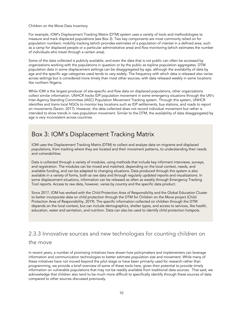For example, IOM's Displacement Tracking Matrix (DTM) system uses a variety of tools and methodologies to measure and track displaced populations (see Box 3). Two key components are most commonly relied on for population numbers: mobility tracking (which provides estimates of a population of interest in a defined area, such as a camp for displaced people or a particular administrative area) and flow monitoring (which estimates the number of individuals who travel through a certain area).

Some of the data collected is publicly available, and even the data that is not public can often be accessed by organizations working with the populations in question or by the public as topline population aggregates. DTM population data in some displacement settings can be disaggregated by age, although the availability of data by age and the specific age categories used tends to vary widely. The frequency with which data is released also varies across settings but is considered more timely than most other sources, with data released weekly in some locations like northern Nigeria.

While IOM is the largest producer of site-specific and flow data on displaced populations, other organizations collect similar information. UNHCR tracks IDP population movement in some emergency situations through the UN's Inter-Agency Standing Committee (IASC) Population Movement Tracking system. Through this system, UNHCR identifies and trains local NGOs to monitor key locations such as IDP settlements, bus stations, and roads to report on movements (Sarzin, 2017). However, the data collected does not record individual movement but rather is intended to show trends in new population movement. Similar to the DTM, the availability of data disaggregated by age is very inconsistent across countries.

### Box 3: IOM's Displacement Tracking Matrix

IOM uses the Displacement Tracking Matrix (DTM) to collect and analyze data on migrants and displaced populations, from tracking where they are located and their movement patterns, to understanding their needs and vulnerabilities.

Data is collected through a variety of modules, using methods that include key informant interviews, surveys, and registration. The modules can be mixed and matched, depending on the local context, needs, and available funding, and can be adapted to changing situations. Data produced through this system is also available in a variety of forms, both as raw data and through regularly updated reports and visualizations. In some displacement situations, information can be released as often as weekly through Emergency Tracking Tool reports. Access to raw data, however, varies by country and the specific data product.

Since 2017, IOM has worked with the Child Protection Area of Responsibility and the Global Education Cluster to better incorporate data on child protection through the DTM for Children on the Move project (Child Protection Area of Responsibility, 2019). The specific information collected on children through the DTM depends on the local context, but can include demographics, shelter types, and access to services, like health, education, water and sanitation, and nutrition. Data can also be used to identify child protection hotspots.

### 2.3.3 Innovative sources and new technologies for counting children on the move

In recent years, a number of promising initiatives have shown how policymakers and implementers can leverage information and communication technologies to better estimate population size and movement. While many of these initiatives have not moved beyond the pilot stage or have been primarily used for research rather than programming, we provide a brief overview of some of these tools here, given their potential to provide timely information on vulnerable populations that may not be readily available from traditional data sources. That said, we acknowledge that children also tend to be much more difficult to specifically identify through these sources of data compared to other sources discussed previously.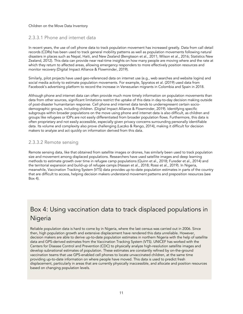#### 2.3.3.1 Phone and internet data

In recent years, the use of cell phone data to track population movement has increased greatly. Data from call detail records (CDRs) has been used to track general mobility patterns as well as population movements following natural disasters in places such as Nepal, Haiti, and New Zealand (Bengtsson et al., 2011; Wilson et al., 2016; Statistics New Zealand, 2012). This data can provide near real-time insights on how many people are moving where and the rate at which they return to affected areas, allowing emergency responders to more effectively position resources and monitor recovery (Digital Impact Alliance & Flowminder, 2019).

Similarly, pilot projects have used geo-referenced data on internet use (e.g., web searches and website logins) and social media activity to estimate population movements. For example, Spyratos et al. (2019) used data from Facebook's advertising platform to record the increase in Venezuelan migrants in Colombia and Spain in 2018.

Although phone and internet data can often provide much more timely information on population movements than data from other sources, significant limitations restrict the uptake of this data in day-to-day decision making outside of post-disaster humanitarian response. Cell phone and internet data tends to underrepresent certain sociodemographic groups, including children. (Digital Impact Alliance & Flowminder, 2019). Identifying specific subgroups within broader populations on the move using phone and internet data is also difficult, as children and groups like refugees or IDPs are not easily differentiated from broader population flows. Furthermore, this data is often proprietary and not easily accessible, especially given privacy concerns surrounding personally identifiable data. Its volume and complexity also prove challenging (Laczko & Rango, 2014), making it difficult for decision makers to analyze and act quickly on information derived from this data.

#### 2.3.3.2 Remote sensing

Remote sensing data, like that obtained from satellite images or drones, has similarly been used to track population size and movement among displaced populations. Researchers have used satellite images and deep learning methods to estimate growth over time in refugee camp populations (Quinn et al., 2018; Fureder et al., 2014) and the territorial expansion and build-up of refugee camps (Hassan et al., 2018; Rossi et al., 2019). In Nigeria, meanwhile, Vaccination Tracking System (VTS) data provides up-to-date population estimates in parts of the country that are difficult to access, helping decision makers understand movement patterns and preposition resources (see Box 4).

# Box 4: Using vaccination data to track displaced populations in Nigeria

Reliable population data is hard to come by in Nigeria, where the last census was carried out in 2006. Since then, high population growth and extensive displacement have rendered this data unreliable. However, decision makers are able to derive up-to-date population estimates in northern Nigeria with the help of satellite data and GPS-derived estimates from the Vaccination Tracking System (VTS). UNICEF has worked with the Centers for Disease Control and Prevention (CDC) to physically analyze high-resolution satellite images and develop subnational estimates of population. These estimates are constantly refined by on-the-ground vaccination teams that use GPS-enabled cell phones to locate unvaccinated children, at the same time providing up-to-date information on where people have moved. This data is used to predict fresh displacement, particularly in areas that are currently physically inaccessible, and allocate and position resources based on changing population levels.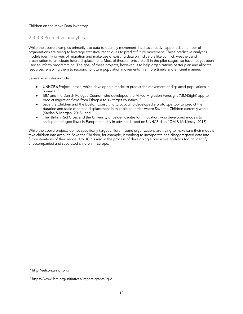#### 2.3.3.3 Predictive analytics

While the above examples primarily use data to quantify movement that has already happened, a number of organizations are trying to leverage statistical techniques to predict future movement. These predictive analytics models identify drivers of migration and make use of existing data on indicators like conflict, weather, and urbanization to anticipate future displacement. Most of these efforts are still in the pilot stages, so have not yet been used to inform programming. The goal of these projects, however, is to help organizations better plan and allocate resources, enabling them to respond to future population movements in a more timely and efficient manner.

Several examples include:

- UNHCR's Project Jetson, which developed a model to predict the movement of displaced populations in Somalia; 12
- IBM and the Danish Refugee Council, who developed the Mixed Migration Foresight (MM4Sight) app to predict migration flows from Ethiopia to six target countries; 13
- Save the Children and the Boston Consulting Group, who developed a prototype tool to predict the duration and scale of forced displacement in multiple countries where Save the Children currently works (Kaplan & Morgan, 2018); and
- The British Red Cross and the University of Leiden Centre for Innovation, who developed models to anticipate refugee flows in Europe one day in advance based on UNHCR data (IOM & McKinsey, 2018)

While the above projects do not specifically target children, some organizations are trying to make sure their models take children into account. Save the Children, for example, is working to incorporate age-disaggregated data into future iterations of their model. UNHCR is also in the process of developing a predictive analytics tool to identify unaccompanied and separated children in Europe.

<sup>12</sup> http://jetson.unhcr.org/

<sup>13</sup> https://www.ibm.org/initiatives/impact-grants/ig-2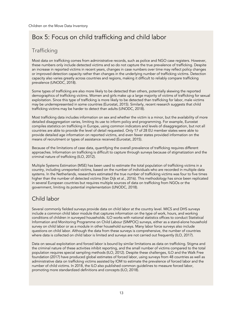# Box 5: Focus on child trafficking and child labor

### **Trafficking**

Most data on trafficking comes from administrative records, such as police and NGO case registers. However, these numbers only include detected victims and so do not capture the true prevalence of trafficking. Despite an increase in reported victims in recent years, changes in case numbers over time may reflect policy changes or improved detection capacity rather than changes in the underlying number of trafficking victims. Detection capacity also varies greatly across countries and regions, making it difficult to reliably compare trafficking prevalence (UNODC, 2018).

Some types of trafficking are also more likely to be detected than others, potentially skewing the reported demographics of trafficking victims. Women and girls make up a large majority of victims of trafficking for sexual exploitation. Since this type of trafficking is more likely to be detected than trafficking for labor, male victims may be underrepresented in some countries (Eurostat, 2015). Similarly, recent research suggests that child trafficking victims may be harder to detect than adults (UNODC, 2018).

Most trafficking data includes information on sex and whether the victim is a minor, but the availability of more detailed disaggregation varies, limiting its use to inform policy and programming. For example, Eurostat compiles statistics on trafficking in Europe, using common indicators and levels of disaggregation, but not all countries are able to provide the level of detail requested. Only 17 of 28 EU member states were able to provide detailed age information on reported victims, and even fewer states provided information on the means of recruitment or types of assistance received (Eurostat, 2015).

Because of the limitations of case data, quantifying the overall prevalence of trafficking requires different approaches. Information on trafficking is difficult to capture through surveys because of stigmatization and the criminal nature of trafficking (ILO, 2012).

Multiple Systems Estimation (MSE) has been used to estimate the total population of trafficking victims in a country, including unreported victims, based on the number of individuals who are recorded in multiple data systems. In the Netherlands, researchers estimated the true number of trafficking victims was four to five times higher than the number of detected victims (Van Dijk et al., 2016). This methodology has since been replicated in several European countries but requires multiple sources of data on trafficking from NGOs or the government, limiting its potential implementation (UNODC, 2018).

### Child labor

Several commonly fielded surveys provide data on child labor at the country level. MICS and DHS surveys include a common child labor module that captures information on the type of work, hours, and working conditions of children in surveyed households. ILO works with national statistics offices to conduct Statistical Information and Monitoring Programme on Child Labour (SIMPOC) surveys, either as a stand-alone household survey on child labor or as a module in other household surveys. Many labor force surveys also include questions on child labor. Although the data from these surveys is comprehensive, the number of countries where data is collected on child labor is limited and surveys are not carried out frequently (ILO, 2017).

Data on sexual exploitation and forced labor is bound by similar limitations as data on trafficking. Stigma and the criminal nature of these activities inhibit reporting, and the small number of victims compared to the total population requires special sampling methods (ILO, 2012). Despite these challenges, ILO and the Walk Free foundation (2017) have produced global estimates of forced labor, using surveys from 48 countries as well as administrative data on trafficking victims assisted by IOM to estimate the prevalence of forced labor and the number of child victims. In 2018, the ILO also published common guidelines to measure forced labor, promoting more standardized definitions and concepts (ILO, 2018).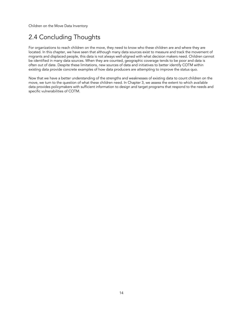# 2.4 Concluding Thoughts

For organizations to reach children on the move, they need to know who these children are and where they are located. In this chapter, we have seen that although many data sources exist to measure and track the movement of migrants and displaced people, this data is not always well-aligned with what decision makers need. Children cannot be identified in many data sources. When they are counted, geographic coverage tends to be poor and data is often out of date. Despite these limitations, new sources of data and initiatives to better identify COTM within existing data provide concrete examples of how data producers are attempting to improve the status quo.

Now that we have a better understanding of the strengths and weaknesses of existing data to count children on the move, we turn to the question of what these children need. In Chapter 3, we assess the extent to which available data provides policymakers with sufficient information to design and target programs that respond to the needs and specific vulnerabilities of COTM.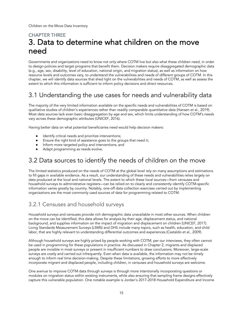# CHAPTER THREE 3. Data to determine what children on the move need

Governments and organizations need to know not only where COTM live but also what these children need, in order to design policies and target programs that benefit them. Decision makers require disaggregated demographic data (e.g., age, sex, disability, level of education, national origin, and migration status), as well as information on how resource levels and outcomes vary, to understand the vulnerabilities and needs of different groups of COTM. In this chapter, we will identify data sources that shed light on the vulnerabilities and needs of COTM, as well as assess the extent to which this information is sufficient to inform policy decisions and direct resources.

# 3.1 Understanding the use cases for needs and vulnerability data

The majority of the very limited information available on the specific needs and vulnerabilities of COTM is based on qualitative studies of children's experiences rather than readily comparable quantitative data (Hansen et al., 2019). Most data sources lack even basic disaggregation by age and sex, which limits understanding of how COTM's needs vary across these demographic attributes (UNICEF, 2016).

Having better data on what potential beneficiaries need would help decision makers:

- Identify critical needs and prioritize interventions;
- Ensure the right kind of assistance goes to the groups that need it;
- Inform more targeted policy and interventions; and
- Adapt programming as needs evolve.

# 3.2 Data sources to identify the needs of children on the move

The limited statistics produced on the needs of COTM at the global level rely on many assumptions and estimations to fill gaps in available evidence. As a result, our understanding of these needs and vulnerabilities relies largely on data produced at the local and national levels. The extent to which these local sources—from censuses and household surveys to administrative registers—can be relied on to clearly and consistently identify COTM-specific information varies greatly by country. Notably, one-off data collection exercises carried out by implementing organizations are the most commonly used sources of data for programming related to COTM.

#### 3.2.1 Censuses and household surveys

Household surveys and censuses provide rich demographic data unavailable in most other sources. When children on the move can be identified, this data allows for analysis by their age, displacement status, and national background, and supplies information on the impact of migration and displacement on children (UNICEF, 2017). Living Standards Measurement Surveys (LSMS) and DHS include many topics, such as health, education, and child labor, that are highly relevant to understanding differential outcomes and experiences (Castaldo et al., 2009).

Although household surveys are highly prized by people working with COTM, per our interviews, they often cannot be used in programming for these populations in practice. As discussed in Chapter 2, migrants and displaced people are invisible in most surveys or present in insufficient numbers to draw conclusions. Moreover, large-scale surveys are costly and carried out infrequently. Even when data is available, the information may not be timely enough to inform real time decision-making. Despite these limitations, growing efforts to more effectively incorporate migrant and displaced people, including children, in censuses and household surveys are welcome.

One avenue to improve COTM data through surveys is through more intentionally incorporating questions or modules on migration status within existing instruments, while also ensuring that sampling frame designs effectively capture this vulnerable population. One notable example is Jordan's 2017-2018 Household Expenditure and Income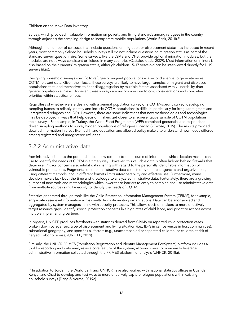Survey, which provided invaluable information on poverty and living standards among refugees in the country through adjusting the sampling design to incorporate mobile populations (World Bank, 2018).14

Although the number of censuses that include questions on migration or displacement status has increased in recent years, most commonly fielded household surveys still do not include questions on migration status as part of the standard survey questionnaire. Some surveys, like the LSMS and DHS, provide optional migration modules, but the modules are not always consistent or fielded in many countries (Castaldo et al., 2009). Most information on minors is also based on their parents' migration status, although children 15-17 years old can be interviewed directly for DHS surveys (ibid).

Designing household surveys specific to refugee or migrant populations is a second avenue to generate more COTM-relevant data. Given their focus, these surveys are likely to have larger samples of migrant and displaced populations that lend themselves to finer disaggregation by multiple factors associated with vulnerability than general population surveys. However, these surveys are uncommon due to cost considerations and competing priorities within statistical offices.

Regardless of whether we are dealing with a general population survey or a COTM-specific survey, developing sampling frames to reliably identify and include COTM populations is difficult, particularly for irregular migrants and unregistered refugees and IDPs. However, there are some indications that new methodologies and technologies may be deployed in ways that help decision makers get closer to a representative sample of COTM populations in their surveys. For example, in Turkey, the World Food Programme (WFP) combined geospatial and respondentdriven sampling methods to survey hidden populations of refugees (Bozdag & Twose, 2019). The results provided detailed information in areas like health and education and allowed policy makers to understand how needs differed among registered and unregistered refugees.

#### 3.2.2 Administrative data

Administrative data has the potential to be a low cost, up-to-date source of information which decision makers can use to identify the needs of COTM in a timely way. However, this valuable data is often hidden behind firewalls that deter use. Privacy concerns also inhibit data sharing with regard to the personally identifiable information of vulnerable populations. Fragmentation of administrative data collected by different agencies and organizations, using different methods, and in different formats limits interoperability and effective use. Furthermore, many decision makers lack both the time and knowledge to analyze administrative data. Fortunately, there are a growing number of new tools and methodologies which lower these barriers to entry to combine and use administrative data from multiple sources simultaneously to identify the needs of COTM.

Statistics generated through tools like the Child Protection Information Management System (CPIMS), for example, aggregate case-level information across multiple implementing organizations. Data can be anonymized and aggregated by system managers in line with security protocols. This allows decision makers to more effectively target resource gaps, identify special protection concerns like high rates of child labor, and prioritize actions across multiple implementing partners.

In Nigeria, UNICEF produces factsheets with statistics derived from CPIMS on reported child protection cases broken down by age, sex, type of displacement and living situation (i.e., IDPs in camps versus in host communities), subnational geography, and specific risk factors (e.g., unaccompanied or separated children, or children at risk of neglect, labor or abuse) (UNICEF, 2019).

Similarly, the UNHCR PRIMES (Population Registration and Identity Management EcoSystem) platform includes a tool for reporting and data analysis as a core feature of the system, allowing users to more easily leverage administrative information collected through the PRIMES platform for analysis (UNHCR, 2018a).

<sup>&</sup>lt;sup>14</sup> In addition to Jordan, the World Bank and UNHCR have also worked with national statistics offices in Uganda, Kenya, and Chad to develop and test ways to more effectively capture refugee populations within existing household surveys (Dang & Verme, 2019a).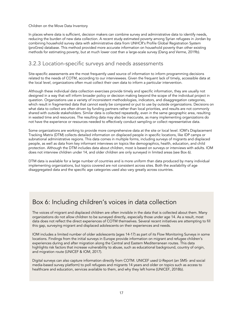In places where data is sufficient, decision makers can combine survey and administrative data to identify needs, reducing the burden of new data collection. A recent study estimated poverty among Syrian refugees in Jordan by combining household survey data with administrative data from UNHCR's Profile Global Registration System (proGres) database. This method provided more accurate information on household poverty than other existing methods for estimating poverty, but at much lower cost than a large-scale survey (Dang and Verme, 2019b).

#### 3.2.3 Location-specific surveys and needs assessments

Site-specific assessments are the most frequently used source of information to inform programming decisions related to the needs of COTM, according to our interviewees. Given the frequent lack of timely, accessible data at the local level, organizations often must collect their own data to inform a particular intervention.

Although these individual data collection exercises provide timely and specific information, they are usually not designed in a way that will inform broader policy or decision making beyond the scope of the individual project in question. Organizations use a variety of inconsistent methodologies, indicators, and disaggregation categories, which result in fragmented data that cannot easily be compared or put to use by outside organizations. Decisions on what data to collect are often driven by funding partners rather than local priorities, and results are not commonly shared with outside stakeholders. Similar data is collected repeatedly, even in the same geographic area, resulting in wasted time and resources. The resulting data may also be inaccurate, as many implementing organizations do not have the experience or resources needed to effectively conduct sampling or collect representative data.

Some organizations are working to provide more comprehensive data at the site or local level. IOM's Displacement Tracking Matrix (DTM) collects detailed information on displaced people in specific locations, like IDP camps or subnational administrative regions. This data comes in multiple forms, including surveys of migrants and displaced people, as well as data from key informant interviews on topics like demographics, health, education, and child protection. Although the DTM includes data about children, most is based on surveys or interviews with adults. IOM does not interview children under 14, and older children are only surveyed in limited areas (see Box 6).

DTM data is available for a large number of countries and is more uniform than data produced by many individual implementing organizations, but topics covered are not consistent across sites. Both the availability of age disaggregated data and the specific age categories used also vary greatly across countries.

### Box 6: Including children's voices in data collection

The voices of migrant and displaced children are often invisible in the data that is collected about them. Many organizations do not allow children to be surveyed directly, especially those under age 14. As a result, most data does not reflect the direct experiences of COTM themselves. Several recent initiatives are attempting to fill this gap, surveying migrant and displaced adolescents on their experiences and needs.

IOM includes a limited number of older adolescents (ages 14-17) as part of its Flow Monitoring Surveys in some locations. Findings from the initial surveys in Europe provide information on migrant and refugee children's experiences during and after migration along the Central and Eastern Mediterranean routes. This data highlights risk factors that increase vulnerability to abuse, such as educational background, country of origin, and migration route (UNICEF & IOM, 2017).

Digital surveys can also capture information directly from COTM. UNICEF used U-Report (an SMS- and social media-based survey platform) to poll refugees and migrants 14 years and older on topics such as access to healthcare and education, services available to them, and why they left home (UNICEF, 2018b).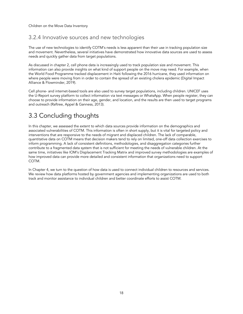### 3.2.4 Innovative sources and new technologies

The use of new technologies to identify COTM's needs is less apparent than their use in tracking population size and movement. Nevertheless, several initiatives have demonstrated how innovative data sources are used to assess needs and quickly gather data from target populations.

As discussed in chapter 2, cell phone data is increasingly used to track population size and movement. This information can also provide insights on what kind of support people on the move may need. For example, when the World Food Programme tracked displacement in Haiti following the 2016 hurricane, they used information on where people were moving from in order to contain the spread of an existing cholera epidemic (Digital Impact Alliance & Flowminder, 2019).

Cell phone- and internet-based tools are also used to survey target populations, including children. UNICEF uses the U-Report survey platform to collect information via text messages or WhatsApp. When people register, they can choose to provide information on their age, gender, and location, and the results are then used to target programs and outreach (Raftree, Appel & Ganness, 2013).

# 3.3 Concluding thoughts

In this chapter, we assessed the extent to which data sources provide information on the demographics and associated vulnerabilities of COTM. This information is often in short supply, but it is vital for targeted policy and interventions that are responsive to the needs of migrant and displaced children. The lack of comparable, quantitative data on COTM means that decision makers tend to rely on limited, one-off data collection exercises to inform programming. A lack of consistent definitions, methodologies, and disaggregation categories further contribute to a fragmented data system that is not sufficient for meeting the needs of vulnerable children. At the same time, initiatives like IOM's Displacement Tracking Matrix and improved survey methodologies are examples of how improved data can provide more detailed and consistent information that organizations need to support COTM.

In Chapter 4, we turn to the question of how data is used to connect individual children to resources and services. We review how data platforms hosted by government agencies and implementing organizations are used to both track and monitor assistance to individual children and better coordinate efforts to assist COTM.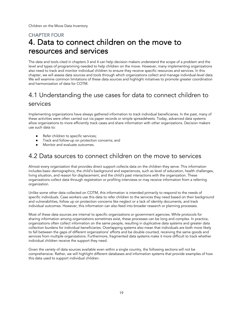# CHAPTER FOUR 4. Data to connect children on the move to resources and services

The data and tools cited in chapters 3 and 4 can help decision makers understand the scope of a problem and the level and types of programming needed to help children on the move. However, many implementing organizations also need to track and monitor individual children to ensure they receive specific resources and services. In this chapter, we will assess data sources and tools through which organizations collect and manage individual-level data. We will examine common limitations of these data sources and highlight initiatives to promote greater coordination and harmonization of data for COTM.

# 4.1 Understanding the use cases for data to connect children to services

Implementing organizations have always gathered information to track individual beneficiaries. In the past, many of these activities were often carried out via paper records or simple spreadsheets. Today, advanced data systems allow organizations to more efficiently track cases and share information with other organizations. Decision makers use such data to:

- Refer children to specific services;
- Track and follow-up on protection concerns; and
- Monitor and evaluate outcomes.

### 4.2 Data sources to connect children on the move to services

Almost every organization that provides direct support collects data on the children they serve. This information includes basic demographics, the child's background and experiences, such as level of education, health challenges, living situation, and reason for displacement, and the child's past interactions with the organization. These organizations collect data through registration or profiling interviews or may receive information from a referring organization.

Unlike some other data collected on COTM, this information is intended primarily to respond to the needs of specific individuals. Case workers use this data to refer children to the services they need based on their background and vulnerabilities, follow up on protection concerns like neglect or a lack of identity documents, and track individual outcomes. However, this information can also feed into broader research or planning processes.

Most of these data sources are internal to specific organizations or government agencies. While protocols for sharing information among organizations sometimes exist, these processes can be long and complex. In practice, organizations often collect information on the same people, resulting in duplicative data systems and greater data collection burdens for individual beneficiaries. Overlapping systems also mean that individuals are both more likely to fall between the gaps of different organizations' efforts and be double counted, receiving the same goods and services from multiple organizations. Furthermore, fragmented data systems make it more difficult to track whether individual children receive the support they need.

Given the variety of data sources available even within a single country, the following sections will not be comprehensive. Rather, we will highlight different databases and information systems that provide examples of how this data used to support individual children.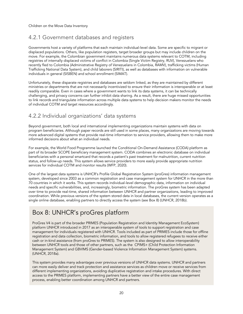### 4.2.1 Government databases and registers

Governments host a variety of platforms that each maintain individual-level data. Some are specific to migrant or displaced populations. Others, like population registers, target broader groups but may include children on the move. For example, the Colombian government maintains numerous data systems relevant to COTM, including registries of internally displaced victims of conflict in Colombia (Single Victim Registry, RUV), Venezuelans who recently fled to Colombia (Administrative Registry of Venezuelans in Colombia, RAMV), trafficking victims (Human Trafficking National Data System), and child laborers (SIRITI), as well as databases with information on vulnerable individuals in general (SISBEN) and school enrollment (SIMAT).

Unfortunately, these disparate registries and databases are seldom linked, as they are maintained by different ministries or departments that are not necessarily incentivized to ensure their information is interoperable or at least readily comparable. Even in cases where a government wants to link its data systems, it can be technically challenging, and privacy concerns can further inhibit data sharing. As a result, there are huge missed opportunities to link records and triangulate information across multiple data systems to help decision makers monitor the needs of individual COTM and target resources accordingly.

#### 4.2.2 Individual organizations' data systems

Beyond government, both local and international implementing organizations maintain systems with data on program beneficiaries. Although paper records are still used in some places, many organizations are moving towards more advanced digital systems that provide real-time information to service providers, allowing them to make more informed decisions about what an individual needs.

For example, the World Food Programme launched the Conditional On-Demand Assistance (CODA) platform as part of its broader SCOPE beneficiary management system. CODA combines an electronic database on individual beneficiaries with a personal smartcard that records a patient's past treatment for malnutrition, current nutrition status, and follow-up needs. This system allows service providers to more easily provide appropriate nutrition services for individual COTM and monitor results (WFP, 2020).

One of the largest data systems is UNHCR's Profile Global Registration System (proGres) information management system, developed since 2003 as a common registration and case management system for UNHCR in the more than 70 countries in which it works. This system records individual-level demographic data, information on individual needs and specific vulnerabilities, and, increasingly, biometric information. The proGres system has been adapted over time to provide real-time, shared information between UNHCR and partner organizations, leading to improved coordination. While previous versions of the system stored data in local databases, the current version operates as a single online database, enabling partners to directly access the system (see Box 8) (UNHCR, 2018b).

# Box 8: UNHCR's proGres platform

ProGres V4 is part of the broader PRIMES (Population Registration and Identity Management EcoSystem) platform UNHCR introduced in 2017 as an interoperable system of tools to support registration and case management for individuals registered with UNHCR. Tools included as part of PRIMES include those for offline registration and data collection, biometric information, and tools to allow registered refugees to receive either cash or in-kind assistance (from proGres to PRIMES). The system is also designed to allow interoperability between UNHCR tools and those of other partners, such as the CPIMS+ (Child Protection Information Management System) and GBVIMS (Gender-based Violence Information Management System) systems. (UNHCR, 2018a).

This system provides many advantages over previous versions of UNHCR data systems. UNHCR and partners can more easily deliver and track protection and assistance services as children move or receive services from different implementing organizations, avoiding duplicative registration and intake procedures. With direct access to the PRIMES platform, implementing partners have a better view of the entire case management process, enabling better coordination among UNHCR and partners.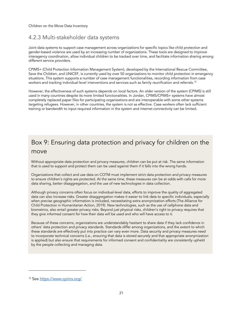#### 4.2.3 Multi-stakeholder data systems

Joint data systems to support case management across organizations for specific topics like child protection and gender-based violence are used by an increasing number of organizations. These tools are designed to improve interagency coordination, allow individual children to be tracked over time, and facilitate information sharing among different service providers.

CPIMS+ (Child Protection Information Management System), developed by the International Rescue Committee, Save the Children, and UNICEF, is currently used by over 50 organizations to monitor child protection in emergency situations. This system supports a number of case management functionalities, recording information from case workers and tracking individual-level interventions and services such as family reunification and referrals.15

However, the effectiveness of such systems depends on local factors. An older version of the system (CPIMS) is still used in many countries despite its more limited functionalities. In Jordan, CPIMS/CPIMS+ systems have almost completely replaced paper files for participating organizations and are interoperable with some other systems targeting refugees. However, in other countries, the system is not as effective. Case workers often lack sufficient training or bandwidth to input required information in the system and internet connectivity can be limited.

# Box 9: Ensuring data protection and privacy for children on the move

Without appropriate data protection and privacy measures, children can be put at risk. The same information that is used to support and protect them can be used against them if it falls into the wrong hands.

Organizations that collect and use data on COTM must implement strict data protection and privacy measures to ensure children's rights are protected. At the same time, these measures can be at odds with calls for more data sharing, better disaggregation, and the use of new technologies in data collection.

Although privacy concerns often focus on individual-level data, efforts to improve the quality of aggregated data can also increase risks. Greater disaggregation makes it easier to link data to specific individuals, especially when precise geographic information is included, necessitating extra anonymization efforts (The Alliance for Child Protection in Humanitarian Action, 2019). New technologies, such as the use of cellphone data and biometrics, also entail greater privacy risks. Beyond just physical risks, children's right to privacy requires that they give informed consent for how their data will be used and who will have access to it.

Because of these concerns, organizations are understandably hesitant to share data if they lack confidence in others' data protection and privacy standards. Standards differ among organizations, and the extent to which these standards are effectively put into practice can vary even more. Data security and privacy measures need to incorporate technical concerns (i.e., ensuring that data is stored securely and that appropriate anonymization is applied) but also ensure that requirements for informed consent and confidentiality are consistently upheld by the people collecting and managing data.

<sup>15</sup> See https://www.cpims.org/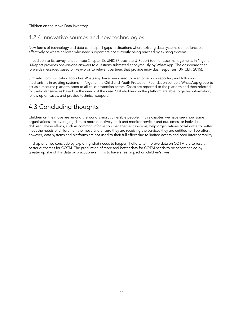#### 4.2.4 Innovative sources and new technologies

New forms of technology and data can help fill gaps in situations where existing data systems do not function effectively or where children who need support are not currently being reached by existing systems.

In addition to its survey function (see Chapter 3), UNICEF uses the U-Report tool for case management. In Nigeria, U-Report provides one-on-one answers to questions submitted anonymously by WhatsApp. The dashboard then forwards messages based on keywords to relevant partners that provide individual responses (UNICEF, 2015).

Similarly, communication tools like WhatsApp have been used to overcome poor reporting and follow-up mechanisms in existing systems. In Nigeria, the Child and Youth Protection Foundation set up a WhatsApp group to act as a resource platform open to all child protection actors. Cases are reported to the platform and then referred for particular services based on the needs of the case. Stakeholders on the platform are able to gather information, follow up on cases, and provide technical support.

# 4.3 Concluding thoughts

Children on the move are among the world's most vulnerable people. In this chapter, we have seen how some organizations are leveraging data to more effectively track and monitor services and outcomes for individual children. These efforts, such as common information management systems, help organizations collaborate to better meet the needs of children on the move and ensure they are receiving the services they are entitled to. Too often, however, data systems and platforms are not used to their full effect due to limited access and poor interoperability.

In chapter 5, we conclude by exploring what needs to happen if efforts to improve data on COTM are to result in better outcomes for COTM. The production of more and better data for COTM needs to be accompanied by greater uptake of this data by practitioners if it is to have a real impact on children's lives.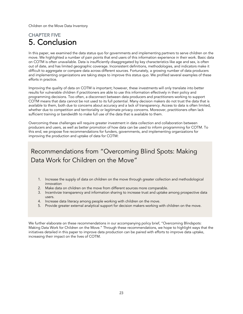### CHAPTER FIVE 5. Conclusion

In this paper, we examined the data status quo for governments and implementing partners to serve children on the move. We highlighted a number of pain points that end users of this information experience in their work. Basic data on COTM is often unavailable. Data is insufficiently disaggregated by key characteristics like age and sex, is often out of date, and has limited geographic coverage. Inconsistent definitions, methodologies, and indicators make it difficult to aggregate or compare data across different sources. Fortunately, a growing number of data producers and implementing organizations are taking steps to improve this status quo. We profiled several examples of these efforts in practice.

Improving the quality of data on COTM is important; however, these investments will only translate into better results for vulnerable children if practitioners are able to use this information effectively in their policy and programming decisions. Too often, a disconnect between data producers and practitioners working to support COTM means that data cannot be not used to its full potential. Many decision makers do not trust the data that is available to them, both due to concerns about accuracy and a lack of transparency. Access to data is often limited, whether due to competition and territoriality or legitimate privacy concerns. Moreover, practitioners often lack sufficient training or bandwidth to make full use of the data that is available to them.

Overcoming these challenges will require greater investment in data collection and collaboration between producers and users, as well as better promotion of how data can be used to inform programming for COTM. To this end, we propose five recommendations for funders, governments, and implementing organizations for improving the production and uptake of data for COTM:

# Recommendations from "Overcoming Blind Spots: Making Data Work for Children on the Move"

- 1. Increase the supply of data on children on the move through greater collection and methodological innovation
- 2. Make data on children on the move from different sources more comparable.
- 3. Incentivize transparency and information sharing to increase trust and uptake among prospective data users.
- 4. Increase data literacy among people working with children on the move.
- 5. Provide greater external analytical support for decision makers working with children on the move.

We further elaborate on these recommendations in our accompanying policy brief, "Overcoming Blindspots: Making Data Work for Children on the Move." Through these recommendations, we hope to highlight ways that the initiatives detailed in this paper to improve data production can be paired with efforts to improve data uptake, increasing their impact on the lives of COTM.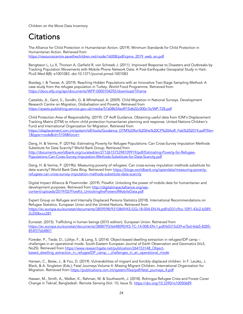# **Citations**

The Alliance for Child Protection in Humanitarian Action. (2019). Minimum Standards for Child Protection in Humanitarian Action. Retrieved from https://resourcecentre.savethechildren.net/node/16008/pdf/cpms\_2019\_web\_en.pdf

Bengtsson L, Lu X, Thorson A, Garfield R, von Schreeb J. (2011). Improved Response to Disasters and Outbreaks by Tracking Population Movements with Mobile Phone Network Data: A Post-Earthquake Geospatial Study in Haiti. PLoS Med 8(8): e1001083. doi:10.1371/journal.pmed.1001083

Bozdag, I. & Twose, A. (2019). Reaching Hidden Populations with an Innovative Two-Stage Sampling Method: A case study from the refugee population in Turkey. World Food Programme. Retrieved from https://docs.wfp.org/api/documents/WFP-0000104292/download/?iframe

Castaldo, A., Gent, S., Sondhi, G. & Whitehead, A. (2009). Child Migration in National Surveys. Development Research Centre on Migration, Globalisation and Poverty. Retrieved from https://assets.publishing.service.gov.uk/media/57a08b54ed915d622c000c1b/WP-T28.pdf

Child Protection Area of Responsibility. (2019). CP AoR Guidance. Obtaining useful data from IOM's Displacement Tracking Matrix (DTM) to inform child protection humanitarian planning and response. United Nations Children's Fund and International Organization for Migration. Retrieved from https://displacement.iom.int/system/tdf/tools/Guidance\_DTM%20for%20the%20CP%20AoR\_Feb%202019.pdf?file= 1&type=node&id=5104&force=

Dang, H. & Verme, P. (2019a). Estimating Poverty for Refugee Populations: Can Cross-Survey Imputation Methods Substitute for Data Scarcity? World Bank Group. Retrieved from http://documents.worldbank.org/curated/en/271261575398109919/pdf/Estimating-Poverty-for-Refugee-Populations-Can-Cross-Survey-Imputation-Methods-Substitute-for-Data-Scarcity.pdf

Dang, H. & Verme, P. (2019b). Measuring poverty of refugees: Can cross-survey imputation methods substitute for data scarcity? World Bank Data Blog. Retrieved from https://blogs.worldbank.org/opendata/measuring-povertyrefugees-can-cross-survey-imputation-methods-substitute-data-scarcity

Digital Impact Alliance & Flowminder. (2019). FlowKit: Unlocking the power of mobile data for humanitarian and development purposes. Retrieved from http://digitalimpactalliance.org/wpcontent/uploads/2019/02/FlowKit\_UnlockingthePowerofMobileData.pdf

Expert Group on Refugee and Internally Displaced Persons Statistics (2018). International Recommendations on Refugee Statistics. European Union and the United Nations. Retrieved from https://ec.europa.eu/eurostat/documents/3859598/9315869/KS-GQ-18-004-EN-N.pdf/d331c9cc-1091-43c2-b589- 2c250bccc281

Eurostat. (2015). Trafficking in human beings (2015 edition). European Union. Retrieved from https://ec.europa.eu/eurostat/documents/3888793/6648090/KS-TC-14-008-EN-1.pdf/b0315d39-e7bd-4da5-8285- 854f37bb8801

Füreder, P., Tiede, D., Lüthje, F., & Lang, S. (2014). Object-based dwelling extraction in refugee/IDP camp – challenges in an operational mode. South-Eastern European Journal of Earth Observation and Geomatics (Vo3, No2S). Retrieved from https://www.researchgate.net/publication/264153148\_Objectbased dwelling extraction in refugeeIDP camp - challenges in an operational mode

Hansen, C., Beise, J., & You, D. (2019). Vulnerabilities of migrant and forcibly displaced children. In F. Laczko, J. Black, & A. Singleton (Eds.), Fatal Journeys Volume 4: Missing Migrant Children. International Organization for Migration. Retrieved from https://publications.iom.int/system/files/pdf/fatal\_journeys\_4.pdf

Hassan, M., Smith, A., Walker, K., Rahman, M. & Southworth, J. (2018). Rohingya Refugee Crisis and Forest Cover Change in Teknaf, Bangladesh. Remote Sensing (Vol. 10, Issue 5). https://doi.org/10.3390/rs10050689.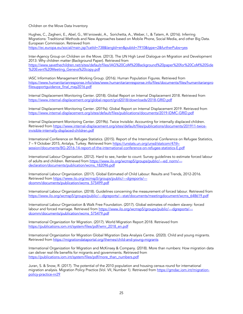Hughes, C., Zagheni, E., Abel, G., Wi'sniowski, A., Sorichetta, A., Weber, I., & Tatem, A. (2016). Inferring Migrations: Traditional Methods and New Approaches based on Mobile Phone, Social Media, and other Big Data. European Commission. Retrieved from https://ec.europa.eu/social/main.jsp?catId=738&langId=en&pubId=7910&type=2&furtherPubs=yes

Inter-Agency Group on Children on the Move. (2013). The UN High Level Dialogue on Migration and Development 2013: Why children matter (Background Paper). Retrieved from https://www.savethechildren.net/sites/default/files/IAG%20CoM%20Background%20paper%20for%20CoM%20Side %20Event%20Meeting\_Geneva%20copy.pdf

IASC Information Management Working Group. (2016). Human Population Figures. Retrieved from https://www.humanitarianresponse.info/sites/www.humanitarianresponse.info/files/documents/files/humanitarianpro filesupportquidance\_final\_may2016.pdf

Internal Displacement Monitoring Center. (2018). Global Report on Internal Displacement 2018. Retrieved from https://www.internal-displacement.org/global-report/grid2018/downloads/2018-GRID.pdf

Internal Displacement Monitoring Center. (2019a). Global Report on Internal Displacement 2019. Retrieved from https://www.internal-displacement.org/sites/default/files/publications/documents/2019-IDMC-GRID.pdf

Internal Displacement Monitoring Center. (2019b). Twice Invisible: Accounting for internally displaced children. Retrieved from https://www.internal-displacement.org/sites/default/files/publications/documents/201911-twiceinvisible-internally-displaced-children.pdf

International Conference on Refugee Statistics. (2015). Report of the International Conference on Refugee Statistics, 7 – 9 October 2015, Antalya, Turkey. Retrieved from https://unstats.un.org/unsd/statcom/47thsession/documents/BG-2016-14-report-of-the-international-conference-on-refugee-statistics-E.pdf

International Labour Organization. (2012). Hard to see, harder to count: Survey guidelines to estimate forced labour of adults and children. Retrieved from https://www.ilo.org/wcmsp5/groups/public/---ed\_norm/--declaration/documents/publication/wcms\_182096.pdf

International Labour Organization. (2017). Global Estimated of Child Labour: Results and Trends, 2012-2016. Retrieved from https://www.ilo.org/wcmsp5/groups/public/---dgreports/--dcomm/documents/publication/wcms\_575499.pdf

International Labour Organization. (2018). Guidelines concerning the measurement of forced labour. Retrieved from https://www.ilo.org/wcmsp5/groups/public/---dgreports/---stat/documents/meetingdocument/wcms\_648619.pdf

International Labour Organization & Walk Free Foundation. (2017). Global estimates of modern slavery: forced labour and forced marriage. Retrieved from https://www.ilo.org/wcmsp5/groups/public/---dgreports/--dcomm/documents/publication/wcms\_575479.pdf

International Organization for Migration. (2017). World Migration Report 2018. Retrieved from https://publications.iom.int/system/files/pdf/wmr\_2018\_en.pdf

International Organization for Migration Global Migration Data Analysis Centre. (2020). Child and young migrants. Retrieved from https://migrationdataportal.org/themes/child-and-young-migrants

International Organization for Migration and McKinsey & Company. (2018). More than numbers: How migration data can deliver real-life benefits for migrants and governments. Retrieved from https://publications.iom.int/system/files/pdf/more\_than\_numbers.pdf

Juran, S. & Snow, R. (2017). The potential of the 2010 population and housing census round for international migration analysis. Migration Policy Practice (Vol. VII, Number 1). Retrieved from https://gmdac.iom.int/migrationpolicy-practice-nr29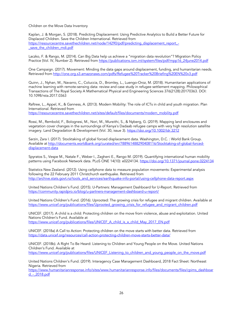Kaplan, J. & Morgan, S. (2018). Predicting Displacement: Using Predictive Analytics to Build a Better Future for Displaced Children. Save the Children International. Retrieved from https://resourcecentre.savethechildren.net/node/14290/pdf/predicting\_displacement\_report\_ save the children mdi.pdf

Laczko, F. & Rango, M. (2014). Can Big Data help us achieve a "migration data revolution"? Migration Policy Practice (Vol. IV, Number 2). Retrieved from https://publications.iom.int/system/files/pdf/mpp16\_24june2014.pdf

One Campaign. (2017). Movement: Minding the data gaps around displacement, funding, and humanitarian needs. Retrieved from http://one.org.s3.amazonaws.com/pdfs/Refugee%20Tracker%20Briefing%20EN%20v3.pdf

Quinn, J., Nyhan, M., Navarro, C., Coluccia, D., Bromley, L., Luengo-Oroz, M. (2018). Humanitarian applications of machine learning with remote-sensing data: review and case study in refugee settlement mapping. Philosophical Transactions of The Royal Society A Mathematical Physical and Engineering Sciences 376(2128):20170363. DOI: 10.1098/rsta.2017.0363

Raftree, L., Appel, K., & Ganness, A. (2013). Modern Mobility: The role of ICTs in child and youth migration. Plan International. Retrieved from https://resourcecentre.savethechildren.net/sites/default/files/documents/modern\_mobility.pdf

Rossi, M., Rembold, F., Bolognesi, M., Nori, M., Mureithi, S., & Nyberg, G. (2019). Mapping land enclosures and vegetation cover changes in the surroundings of Kenya's Dadaab refugee camps with very high resolution satellite imagery. Land Degradation & Development (Vol. 30, issue 3). https://doi.org/10.1002/ldr.3212

Sarzin, Zara I. (2017). Stocktaking of global forced displacement data. Washington, D.C. : World Bank Group. Available at http://documents.worldbank.org/curated/en/788961488290408116/Stocktaking-of-global-forceddisplacement-data

Spyratos S., Vespe M., Natale F., Weber I., Zagheni E., Rango M. (2019). Quantifying international human mobility patterns using Facebook Network data. PLoS ONE 14(10): e0224134. https://doi.org/10.1371/journal.pone.0224134

Statistics New Zealand. (2012). Using cellphone data to measure population movements: Experimental analysis following the 22 February 2011 Christchurch earthquake. Retrieved from http://archive.stats.govt.nz/tools\_and\_services/earthquake-info-portal/using-cellphone-data-report.aspx

United Nations Children's Fund. (2015). U-Partners: Management Dashboard for U-Report. Retrieved from https://community.rapidpro.io/blog/u-partners-management-dashboard-u-report/

United Nations Children's Fund. (2016). Uprooted: The growing crisis for refugee and migrant children. Available at https://www.unicef.org/publications/files/Uprooted\_growing\_crisis\_for\_refugee\_and\_migrant\_children.pdf

UNICEF. (2017). A child is a child: Protecting children on the move from violence, abuse and exploitation. United Nations Children's Fund. Available at https://www.unicef.org/publications/files/UNICEF\_A\_child\_is\_a\_child\_May\_2017\_EN.pdf

UNICEF. (2018a) A Call to Action: Protecting children on the move starts with better data. Retrieved from https://data.unicef.org/resources/call-action-protecting-children-move-starts-better-data/

UNICEF. (2018b). A Right To Be Heard: Listening to Children and Young People on the Move. United Nations Children's Fund. Available at

https://www.unicef.org/publications/files/UNICEF\_Listening\_to\_children\_and\_young\_people\_on\_the\_move.pdf

United Nations Children's Fund. (2019). Interagency Case Management Dashboard, 2018 Fact Sheet: Northeast Nigeria. Retrieved from

https://www.humanitarianresponse.info/sites/www.humanitarianresponse.info/files/documents/files/cpims\_dashboar d\_-\_2018.pdf